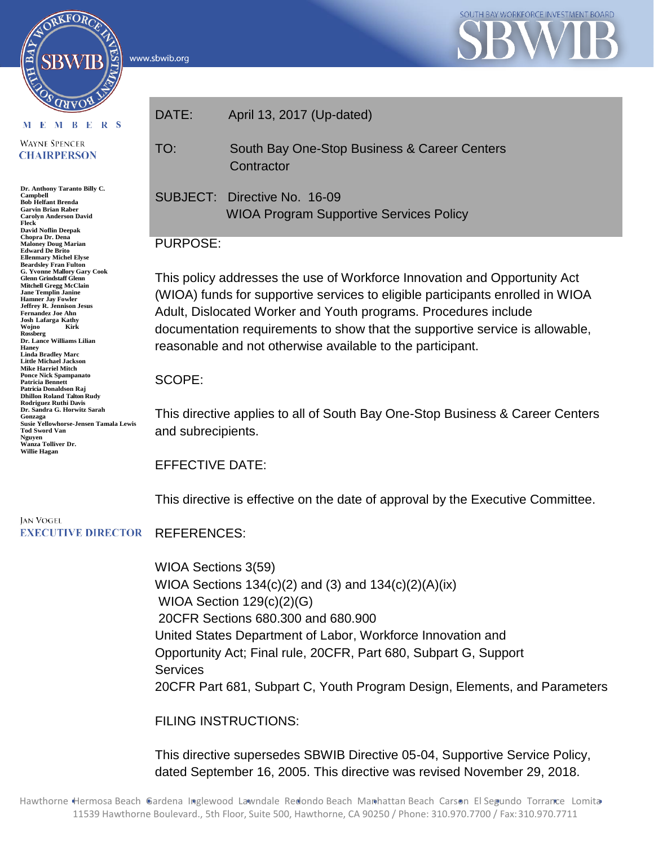www.sbwib.org



M E M B E R S

ORKFORC

**WAYNE SPENCER CHAIRPERSON** 

**Dr. Anthony Taranto Billy C. Campbell Bob Helfant Brenda Garvin Brian Raber Carolyn Anderson David Fleck David Noflin Deepak Chopra Dr. Dena Maloney Doug Marian Edward De Brito Ellenmary Michel Elyse Beardsley Fran Fulton G. Yvonne Mallory Gary Cook Glenn Grindstaff Glenn Mitchell Gregg McClain Jane Templin Janine Hamner Jay Fowler Jeffrey R. Jennison Jesus Fernandez Joe Ahn Josh Lafarga Kathy**   $Wojno$ **Rossberg Dr. Lance Williams Lilian Haney Linda Bradley Marc Little Michael Jackson Mike Harriel Mitch Ponce Nick Spampanato Patricia Bennett Patricia Donaldson Raj Dhillon Roland Talton Rudy Rodriguez Ruthi Davis Dr. Sandra G. Horwitz Sarah Gonzaga Susie Yellowhorse-Jensen Tamala Lewis Tod Sword Van Nguyen Wanza Tolliver Dr. Willie Hagan**

| DATE: | April 13, 2017 (Up-dated)                                                      |
|-------|--------------------------------------------------------------------------------|
| TO:   | South Bay One-Stop Business & Career Centers<br>Contractor                     |
|       | SUBJECT: Directive No. 16-09<br><b>WIOA Program Supportive Services Policy</b> |

#### PURPOSE:

This policy addresses the use of Workforce Innovation and Opportunity Act (WIOA) funds for supportive services to eligible participants enrolled in WIOA Adult, Dislocated Worker and Youth programs. Procedures include documentation requirements to show that the supportive service is allowable, reasonable and not otherwise available to the participant.

#### SCOPE:

This directive applies to all of South Bay One-Stop Business & Career Centers and subrecipients.

EFFECTIVE DATE:

This directive is effective on the date of approval by the Executive Committee.

#### **JAN VOGEL EXECUTIVE DIRECTOR** REFERENCES:

WIOA Sections 3(59) WIOA Sections 134(c)(2) and (3) and 134(c)(2)(A)(ix) WIOA Section 129(c)(2)(G) 20CFR Sections 680.300 and 680.900 United States Department of Labor, Workforce Innovation and Opportunity Act; Final rule, 20CFR, Part 680, Subpart G, Support **Services** 20CFR Part 681, Subpart C, Youth Program Design, Elements, and Parameters

FILING INSTRUCTIONS:

This directive supersedes SBWIB Directive 05-04, Supportive Service Policy, dated September 16, 2005. This directive was revised November 29, 2018.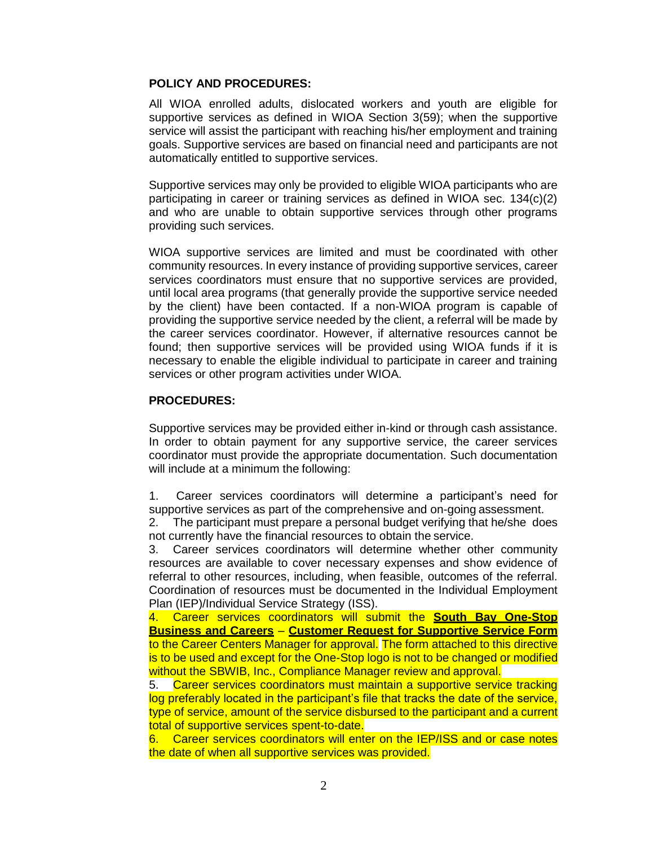#### **POLICY AND PROCEDURES:**

All WIOA enrolled adults, dislocated workers and youth are eligible for supportive services as defined in WIOA Section 3(59); when the supportive service will assist the participant with reaching his/her employment and training goals. Supportive services are based on financial need and participants are not automatically entitled to supportive services.

Supportive services may only be provided to eligible WIOA participants who are participating in career or training services as defined in WIOA sec. 134(c)(2) and who are unable to obtain supportive services through other programs providing such services.

WIOA supportive services are limited and must be coordinated with other community resources. In every instance of providing supportive services, career services coordinators must ensure that no supportive services are provided, until local area programs (that generally provide the supportive service needed by the client) have been contacted. If a non-WIOA program is capable of providing the supportive service needed by the client, a referral will be made by the career services coordinator. However, if alternative resources cannot be found; then supportive services will be provided using WIOA funds if it is necessary to enable the eligible individual to participate in career and training services or other program activities under WIOA.

#### **PROCEDURES:**

Supportive services may be provided either in-kind or through cash assistance. In order to obtain payment for any supportive service, the career services coordinator must provide the appropriate documentation. Such documentation will include at a minimum the following:

1. Career services coordinators will determine a participant's need for supportive services as part of the comprehensive and on-going assessment.

2. The participant must prepare a personal budget verifying that he/she does not currently have the financial resources to obtain the service.

3. Career services coordinators will determine whether other community resources are available to cover necessary expenses and show evidence of referral to other resources, including, when feasible, outcomes of the referral. Coordination of resources must be documented in the Individual Employment Plan (IEP)/Individual Service Strategy (ISS).

4. Career services coordinators will submit the **South Bay One-Stop Business and Careers** – **Customer Request for Supportive Service Form** to the Career Centers Manager for approval. The form attached to this directive is to be used and except for the One-Stop logo is not to be changed or modified without the SBWIB, Inc., Compliance Manager review and approval.

5. Career services coordinators must maintain a supportive service tracking log preferably located in the participant's file that tracks the date of the service, type of service, amount of the service disbursed to the participant and a current total of supportive services spent-to-date.

6. Career services coordinators will enter on the IEP/ISS and or case notes the date of when all supportive services was provided.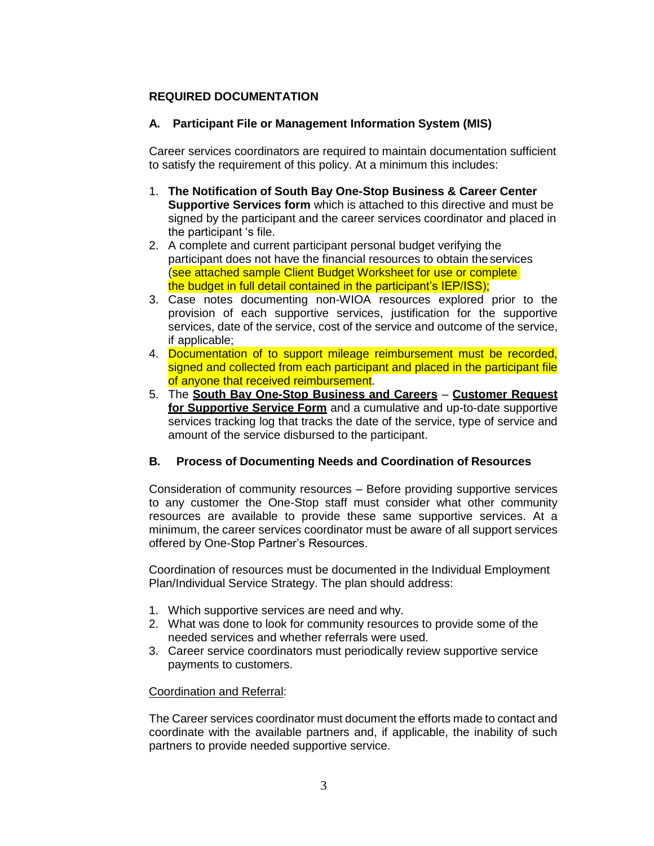#### **REQUIRED DOCUMENTATION**

#### **A. Participant File or Management Information System (MIS)**

Career services coordinators are required to maintain documentation sufficient to satisfy the requirement of this policy. At a minimum this includes:

- 1. **The Notification of South Bay One-Stop Business & Career Center Supportive Services form** which is attached to this directive and must be signed by the participant and the career services coordinator and placed in the participant 's file.
- 2. A complete and current participant personal budget verifying the participant does not have the financial resources to obtain theservices (see attached sample Client Budget Worksheet for use or complete the budget in full detail contained in the participant's IEP/ISS);
- 3. Case notes documenting non-WIOA resources explored prior to the provision of each supportive services, justification for the supportive services, date of the service, cost of the service and outcome of the service, if applicable;
- 4. Documentation of to support mileage reimbursement must be recorded, signed and collected from each participant and placed in the participant file of anyone that received reimbursement.
- 5. The **South Bay One-Stop Business and Careers Customer Request for Supportive Service Form** and a cumulative and up-to-date supportive services tracking log that tracks the date of the service, type of service and amount of the service disbursed to the participant.

#### **B. Process of Documenting Needs and Coordination of Resources**

Consideration of community resources – Before providing supportive services to any customer the One-Stop staff must consider what other community resources are available to provide these same supportive services. At a minimum, the career services coordinator must be aware of all support services offered by One-Stop Partner's Resources.

Coordination of resources must be documented in the Individual Employment Plan/Individual Service Strategy. The plan should address:

- 1. Which supportive services are need and why.
- 2. What was done to look for community resources to provide some of the needed services and whether referrals were used.
- 3. Career service coordinators must periodically review supportive service payments to customers.

#### Coordination and Referral:

The Career services coordinator must document the efforts made to contact and coordinate with the available partners and, if applicable, the inability of such partners to provide needed supportive service.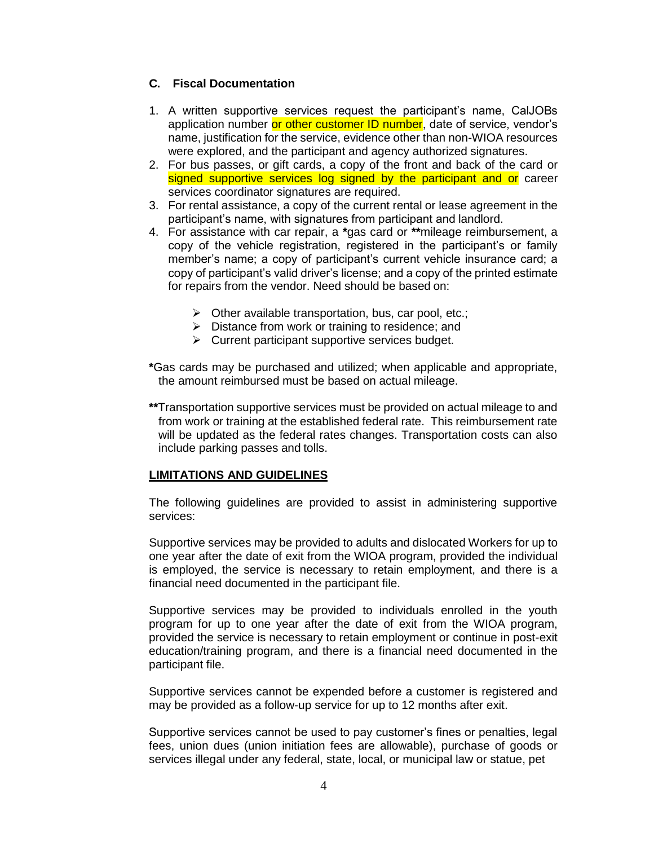#### **C. Fiscal Documentation**

- 1. A written supportive services request the participant's name, CalJOBs application number or other customer ID number, date of service, vendor's name, justification for the service, evidence other than non-WIOA resources were explored, and the participant and agency authorized signatures.
- 2. For bus passes, or gift cards, a copy of the front and back of the card or signed supportive services log signed by the participant and or career services coordinator signatures are required.
- 3. For rental assistance, a copy of the current rental or lease agreement in the participant's name, with signatures from participant and landlord.
- 4. For assistance with car repair, a **\***gas card or **\*\***mileage reimbursement, a copy of the vehicle registration, registered in the participant's or family member's name; a copy of participant's current vehicle insurance card; a copy of participant's valid driver's license; and a copy of the printed estimate for repairs from the vendor. Need should be based on:
	- $\triangleright$  Other available transportation, bus, car pool, etc.;
	- $\triangleright$  Distance from work or training to residence; and
	- $\triangleright$  Current participant supportive services budget.
- **\***Gas cards may be purchased and utilized; when applicable and appropriate, the amount reimbursed must be based on actual mileage.
- **\*\***Transportation supportive services must be provided on actual mileage to and from work or training at the established federal rate. This reimbursement rate will be updated as the federal rates changes. Transportation costs can also include parking passes and tolls.

#### **LIMITATIONS AND GUIDELINES**

The following guidelines are provided to assist in administering supportive services:

Supportive services may be provided to adults and dislocated Workers for up to one year after the date of exit from the WIOA program, provided the individual is employed, the service is necessary to retain employment, and there is a financial need documented in the participant file.

Supportive services may be provided to individuals enrolled in the youth program for up to one year after the date of exit from the WIOA program, provided the service is necessary to retain employment or continue in post-exit education/training program, and there is a financial need documented in the participant file.

Supportive services cannot be expended before a customer is registered and may be provided as a follow-up service for up to 12 months after exit.

Supportive services cannot be used to pay customer's fines or penalties, legal fees, union dues (union initiation fees are allowable), purchase of goods or services illegal under any federal, state, local, or municipal law or statue, pet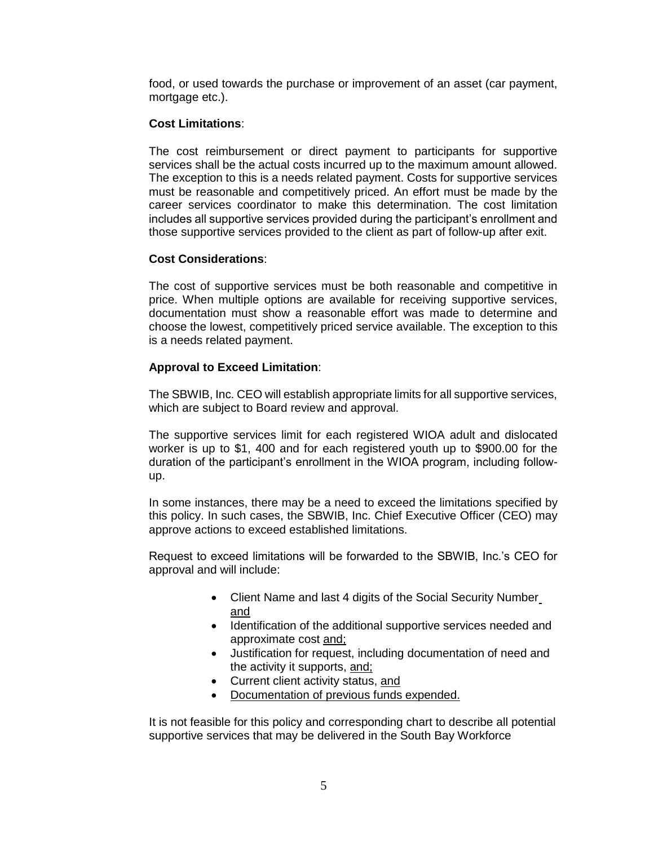food, or used towards the purchase or improvement of an asset (car payment, mortgage etc.).

#### **Cost Limitations**:

The cost reimbursement or direct payment to participants for supportive services shall be the actual costs incurred up to the maximum amount allowed. The exception to this is a needs related payment. Costs for supportive services must be reasonable and competitively priced. An effort must be made by the career services coordinator to make this determination. The cost limitation includes all supportive services provided during the participant's enrollment and those supportive services provided to the client as part of follow-up after exit.

#### **Cost Considerations**:

The cost of supportive services must be both reasonable and competitive in price. When multiple options are available for receiving supportive services, documentation must show a reasonable effort was made to determine and choose the lowest, competitively priced service available. The exception to this is a needs related payment.

#### **Approval to Exceed Limitation**:

The SBWIB, Inc. CEO will establish appropriate limits for all supportive services, which are subject to Board review and approval.

The supportive services limit for each registered WIOA adult and dislocated worker is up to \$1, 400 and for each registered youth up to \$900.00 for the duration of the participant's enrollment in the WIOA program, including followup.

In some instances, there may be a need to exceed the limitations specified by this policy. In such cases, the SBWIB, Inc. Chief Executive Officer (CEO) may approve actions to exceed established limitations.

Request to exceed limitations will be forwarded to the SBWIB, Inc.'s CEO for approval and will include:

- Client Name and last 4 digits of the Social Security Number and
- Identification of the additional supportive services needed and approximate cost and;
- Justification for request, including documentation of need and the activity it supports, and;
- Current client activity status, and
- Documentation of previous funds expended.

It is not feasible for this policy and corresponding chart to describe all potential supportive services that may be delivered in the South Bay Workforce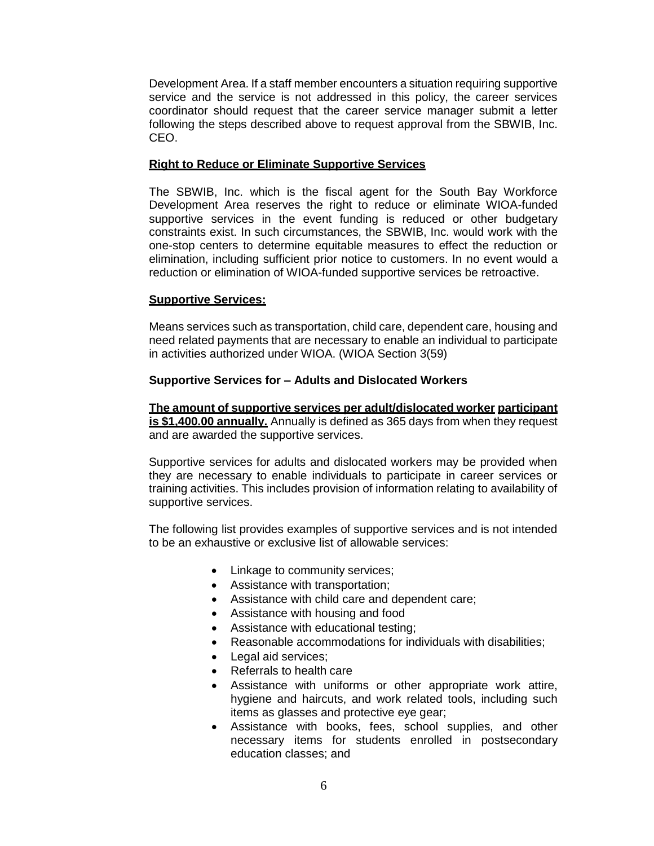Development Area. If a staff member encounters a situation requiring supportive service and the service is not addressed in this policy, the career services coordinator should request that the career service manager submit a letter following the steps described above to request approval from the SBWIB, Inc. CEO.

#### **Right to Reduce or Eliminate Supportive Services**

The SBWIB, Inc. which is the fiscal agent for the South Bay Workforce Development Area reserves the right to reduce or eliminate WIOA-funded supportive services in the event funding is reduced or other budgetary constraints exist. In such circumstances, the SBWIB, Inc. would work with the one-stop centers to determine equitable measures to effect the reduction or elimination, including sufficient prior notice to customers. In no event would a reduction or elimination of WIOA-funded supportive services be retroactive.

#### **Supportive Services:**

Means services such as transportation, child care, dependent care, housing and need related payments that are necessary to enable an individual to participate in activities authorized under WIOA. (WIOA Section 3(59)

#### **Supportive Services for – Adults and Dislocated Workers**

**The amount of supportive services per adult/dislocated worker participant is \$1,400.00 annually.** Annually is defined as 365 days from when they request and are awarded the supportive services.

Supportive services for adults and dislocated workers may be provided when they are necessary to enable individuals to participate in career services or training activities. This includes provision of information relating to availability of supportive services.

The following list provides examples of supportive services and is not intended to be an exhaustive or exclusive list of allowable services:

- Linkage to community services;
- Assistance with transportation;
- Assistance with child care and dependent care;
- Assistance with housing and food
- Assistance with educational testing;
- Reasonable accommodations for individuals with disabilities;
- Legal aid services;
- Referrals to health care
- Assistance with uniforms or other appropriate work attire, hygiene and haircuts, and work related tools, including such items as glasses and protective eye gear;
- Assistance with books, fees, school supplies, and other necessary items for students enrolled in postsecondary education classes; and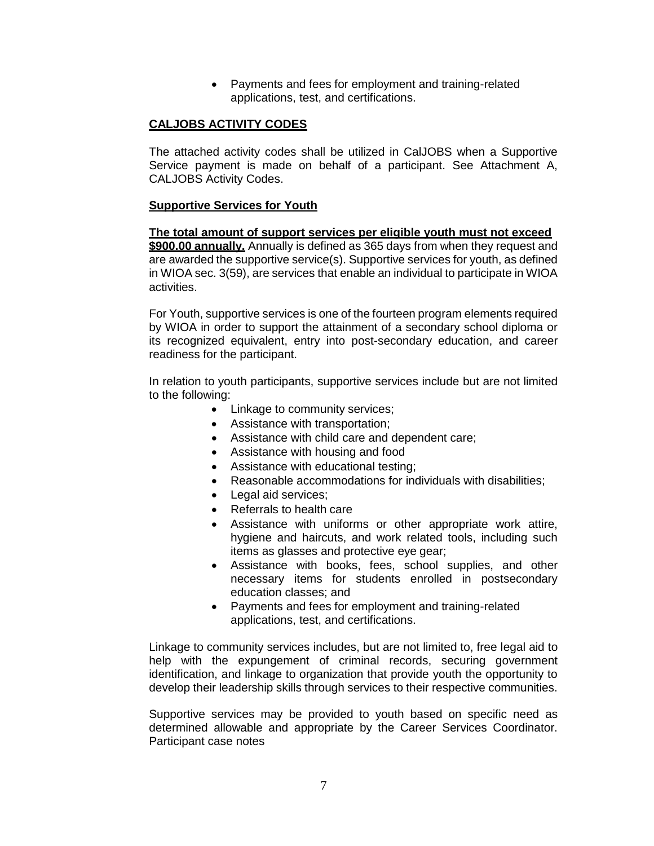Payments and fees for employment and training-related applications, test, and certifications.

#### **CALJOBS ACTIVITY CODES**

The attached activity codes shall be utilized in CalJOBS when a Supportive Service payment is made on behalf of a participant. See Attachment A, CALJOBS Activity Codes.

#### **Supportive Services for Youth**

**The total amount of support services per eligible youth must not exceed \$900.00 annually.** Annually is defined as 365 days from when they request and are awarded the supportive service(s). Supportive services for youth, as defined in WIOA sec. 3(59), are services that enable an individual to participate in WIOA activities.

For Youth, supportive services is one of the fourteen program elements required by WIOA in order to support the attainment of a secondary school diploma or its recognized equivalent, entry into post-secondary education, and career readiness for the participant.

In relation to youth participants, supportive services include but are not limited to the following:

- Linkage to community services;
- Assistance with transportation;
- Assistance with child care and dependent care;
- Assistance with housing and food
- Assistance with educational testing;
- Reasonable accommodations for individuals with disabilities;
- Legal aid services;
- Referrals to health care
- Assistance with uniforms or other appropriate work attire, hygiene and haircuts, and work related tools, including such items as glasses and protective eye gear;
- Assistance with books, fees, school supplies, and other necessary items for students enrolled in postsecondary education classes; and
- Payments and fees for employment and training-related applications, test, and certifications.

Linkage to community services includes, but are not limited to, free legal aid to help with the expungement of criminal records, securing government identification, and linkage to organization that provide youth the opportunity to develop their leadership skills through services to their respective communities.

Supportive services may be provided to youth based on specific need as determined allowable and appropriate by the Career Services Coordinator. Participant case notes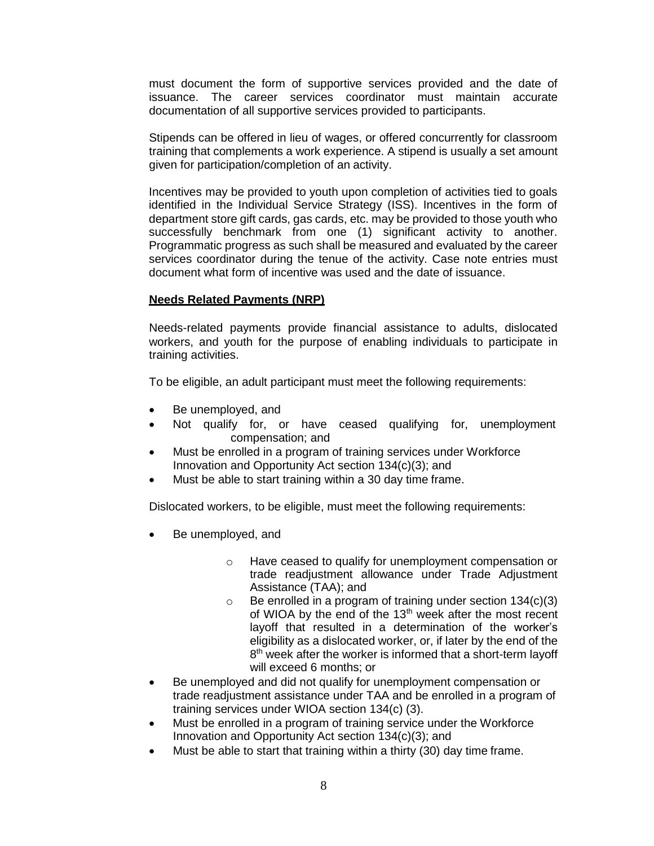must document the form of supportive services provided and the date of issuance. The career services coordinator must maintain accurate documentation of all supportive services provided to participants.

Stipends can be offered in lieu of wages, or offered concurrently for classroom training that complements a work experience. A stipend is usually a set amount given for participation/completion of an activity.

Incentives may be provided to youth upon completion of activities tied to goals identified in the Individual Service Strategy (ISS). Incentives in the form of department store gift cards, gas cards, etc. may be provided to those youth who successfully benchmark from one (1) significant activity to another. Programmatic progress as such shall be measured and evaluated by the career services coordinator during the tenue of the activity. Case note entries must document what form of incentive was used and the date of issuance.

#### **Needs Related Payments (NRP)**

Needs-related payments provide financial assistance to adults, dislocated workers, and youth for the purpose of enabling individuals to participate in training activities.

To be eligible, an adult participant must meet the following requirements:

- Be unemployed, and
- Not qualify for, or have ceased qualifying for, unemployment compensation; and
- Must be enrolled in a program of training services under Workforce Innovation and Opportunity Act section 134(c)(3); and
- Must be able to start training within a 30 day time frame.

Dislocated workers, to be eligible, must meet the following requirements:

- Be unemployed, and
	- o Have ceased to qualify for unemployment compensation or trade readjustment allowance under Trade Adjustment Assistance (TAA); and
	- $\circ$  Be enrolled in a program of training under section 134(c)(3) of WIOA by the end of the 13<sup>th</sup> week after the most recent layoff that resulted in a determination of the worker's eligibility as a dislocated worker, or, if later by the end of the 8<sup>th</sup> week after the worker is informed that a short-term layoff will exceed 6 months; or
- Be unemployed and did not qualify for unemployment compensation or trade readjustment assistance under TAA and be enrolled in a program of training services under WIOA section 134(c) (3).
- Must be enrolled in a program of training service under the Workforce Innovation and Opportunity Act section 134(c)(3); and
- Must be able to start that training within a thirty (30) day time frame.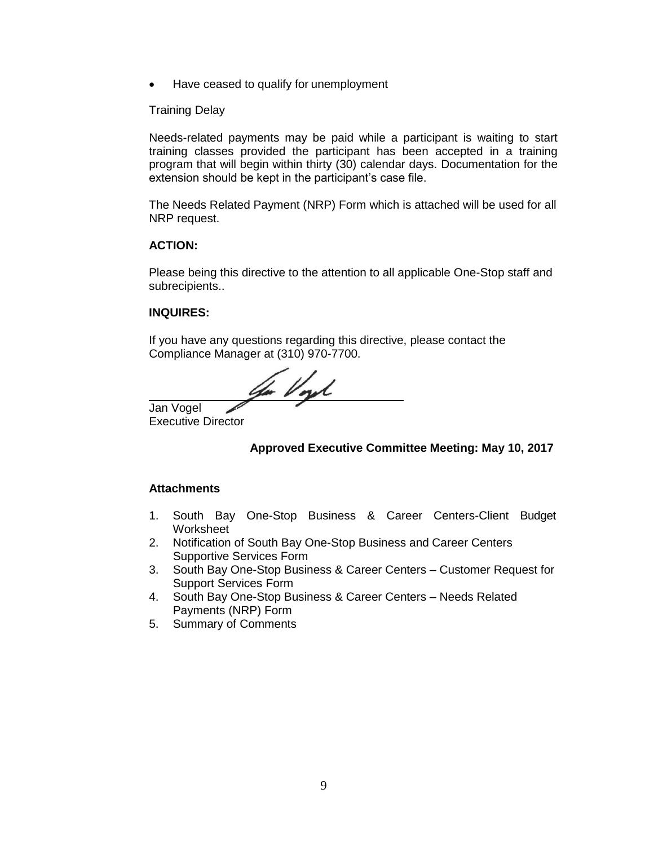• Have ceased to qualify for unemployment

#### Training Delay

Needs-related payments may be paid while a participant is waiting to start training classes provided the participant has been accepted in a training program that will begin within thirty (30) calendar days. Documentation for the extension should be kept in the participant's case file.

The Needs Related Payment (NRP) Form which is attached will be used for all NRP request.

#### **ACTION:**

Please being this directive to the attention to all applicable One-Stop staff and subrecipients..

#### **INQUIRES:**

If you have any questions regarding this directive, please contact the Compliance Manager at (310) 970-7700.

to Vort

Jan Vogel Executive Director

#### **Approved Executive Committee Meeting: May 10, 2017**

#### **Attachments**

- 1. South Bay One-Stop Business & Career Centers-Client Budget Worksheet
- 2. Notification of South Bay One-Stop Business and Career Centers Supportive Services Form
- 3. South Bay One-Stop Business & Career Centers Customer Request for Support Services Form
- 4. South Bay One-Stop Business & Career Centers Needs Related Payments (NRP) Form
- 5. Summary of Comments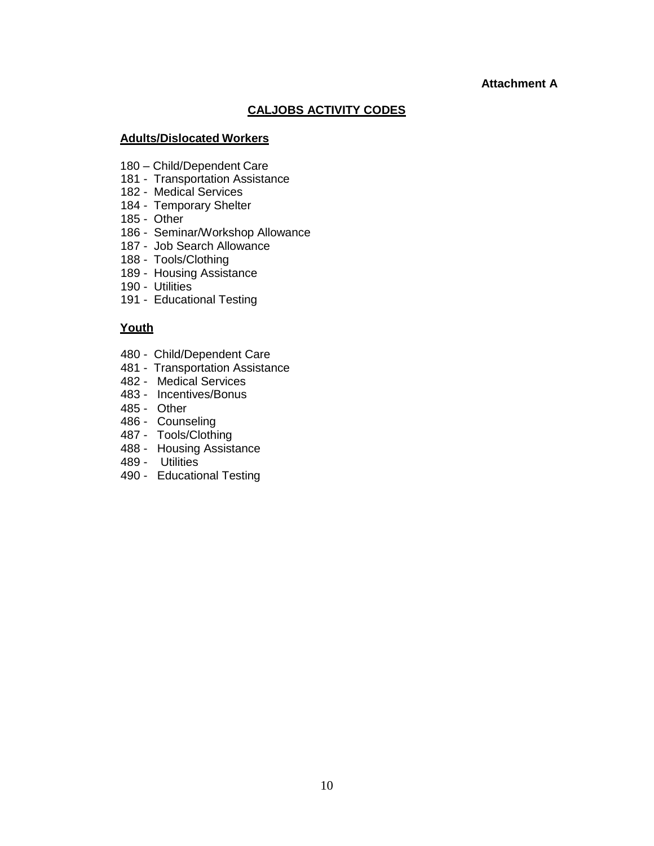#### **Attachment A**

#### **CALJOBS ACTIVITY CODES**

#### **Adults/Dislocated Workers**

- 180 Child/Dependent Care
- 181 Transportation Assistance
- 182 Medical Services
- 184 Temporary Shelter
- 185 Other
- 186 Seminar/Workshop Allowance
- 187 Job Search Allowance
- 188 Tools/Clothing
- 189 Housing Assistance
- 190 Utilities
- 191 Educational Testing

#### **Youth**

- 480 Child/Dependent Care
- 481 Transportation Assistance
- 482 Medical Services
- 483 Incentives/Bonus
- 485 Other
- 486 Counseling
- 487 Tools/Clothing
- 488 Housing Assistance
- 489 Utilities
- 490 Educational Testing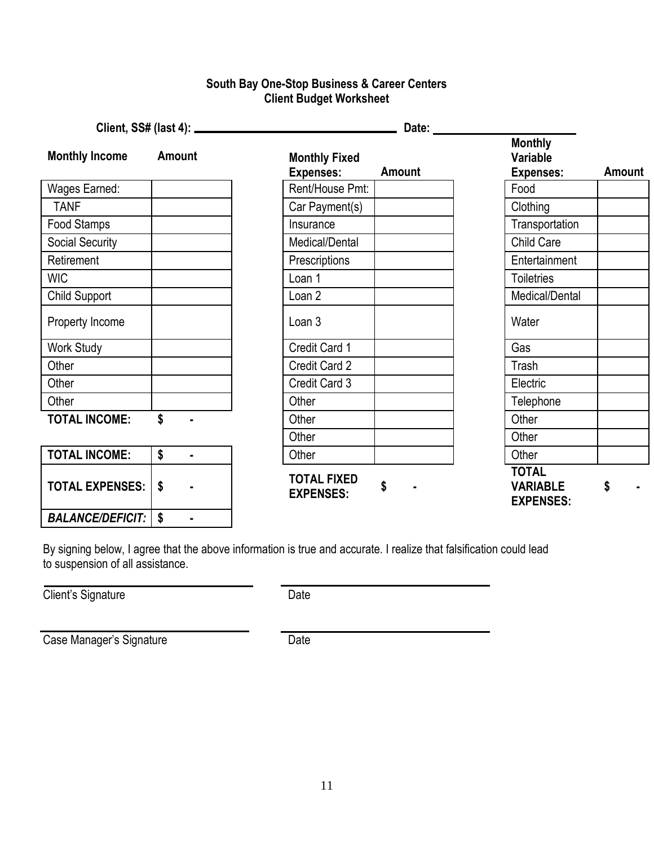### **South Bay One-Stop Business & Career Centers Client Budget Worksheet**

| <b>Monthly Income</b>  | <b>Amount</b> | <b>Monthly Fixed</b><br><b>Expenses:</b>     | <b>Amount</b> | <b>Monthly</b><br>Variable<br><b>Expenses:</b>      | Amount |
|------------------------|---------------|----------------------------------------------|---------------|-----------------------------------------------------|--------|
| Wages Earned:          |               | Rent/House Pmt:                              |               | Food                                                |        |
| <b>TANF</b>            |               | Car Payment(s)                               |               | Clothing                                            |        |
| Food Stamps            |               | Insurance                                    |               | Transportation                                      |        |
| <b>Social Security</b> |               | Medical/Dental                               |               | Child Care                                          |        |
| Retirement             |               | Prescriptions                                |               | Entertainment                                       |        |
| <b>WIC</b>             |               | Loan 1                                       |               | <b>Toiletries</b>                                   |        |
| Child Support          |               | Loan <sub>2</sub>                            |               | Medical/Dental                                      |        |
| Property Income        |               | Loan 3                                       |               | Water                                               |        |
| <b>Work Study</b>      |               | Credit Card 1                                |               | Gas                                                 |        |
| Other                  |               | Credit Card 2                                |               | Trash                                               |        |
| Other                  |               | Credit Card 3                                |               | Electric                                            |        |
| Other                  |               | Other                                        |               | Telephone                                           |        |
| <b>TOTAL INCOME:</b>   | \$            | Other                                        |               | Other                                               |        |
|                        |               | Other                                        |               | Other                                               |        |
| <b>TOTAL INCOME:</b>   | \$<br>Ĭ.      | Other                                        |               | Other                                               |        |
| <b>TOTAL EXPENSES:</b> | \$            | <b>TOTAL FIXED</b><br>\$<br><b>EXPENSES:</b> |               | <b>TOTAL</b><br><b>VARIABLE</b><br><b>EXPENSES:</b> | \$     |

By signing below, I agree that the above information is true and accurate. I realize that falsification could lead to suspension of all assistance.

Client's Signature Date

Case Manager's Signature **Date** 

*BALANCE/DEFICIT:* **\$ -**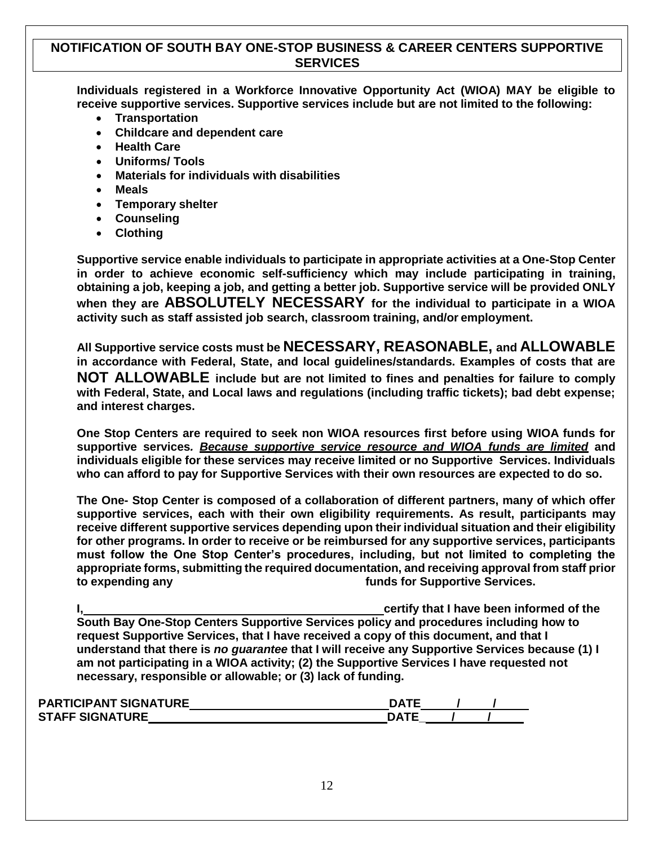#### **NOTIFICATION OF SOUTH BAY ONE-STOP BUSINESS & CAREER CENTERS SUPPORTIVE SERVICES**

**Individuals registered in a Workforce Innovative Opportunity Act (WIOA) MAY be eligible to receive supportive services. Supportive services include but are not limited to the following:**

- **Transportation**
- **Childcare and dependent care**
- **Health Care**
- **Uniforms/ Tools**
- **Materials for individuals with disabilities**
- **Meals**
- **Temporary shelter**
- **Counseling**
- **Clothing**

**Supportive service enable individuals to participate in appropriate activities at a One-Stop Center in order to achieve economic self-sufficiency which may include participating in training, obtaining a job, keeping a job, and getting a better job. Supportive service will be provided ONLY when they are ABSOLUTELY NECESSARY for the individual to participate in a WIOA activity such as staff assisted job search, classroom training, and/or employment.**

**All Supportive service costs must be NECESSARY, REASONABLE, and ALLOWABLE in accordance with Federal, State, and local guidelines/standards. Examples of costs that are NOT ALLOWABLE include but are not limited to fines and penalties for failure to comply with Federal, State, and Local laws and regulations (including traffic tickets); bad debt expense; and interest charges.**

**One Stop Centers are required to seek non WIOA resources first before using WIOA funds for supportive services***. Because supportive service resource and WIOA funds are limited* **and individuals eligible for these services may receive limited or no Supportive Services. Individuals who can afford to pay for Supportive Services with their own resources are expected to do so.**

**The One- Stop Center is composed of a collaboration of different partners, many of which offer supportive services, each with their own eligibility requirements. As result, participants may receive different supportive services depending upon their individual situation and their eligibility for other programs. In order to receive or be reimbursed for any supportive services, participants must follow the One Stop Center's procedures, including, but not limited to completing the appropriate forms, submitting the required documentation, and receiving approval from staff prior to expending any funds for Supportive Services.**

**I, certify that I have been informed of the South Bay One-Stop Centers Supportive Services policy and procedures including how to request Supportive Services, that I have received a copy of this document, and that I understand that there is** *no guarantee* **that I will receive any Supportive Services because (1) I am not participating in a WIOA activity; (2) the Supportive Services I have requested not necessary, responsible or allowable; or (3) lack of funding.**

| <b>PARTICIPANT SIGNATURE</b> | <b>DATF</b> |  |  |
|------------------------------|-------------|--|--|
| <b>STAFF SIGNATURE</b>       | ֹםר         |  |  |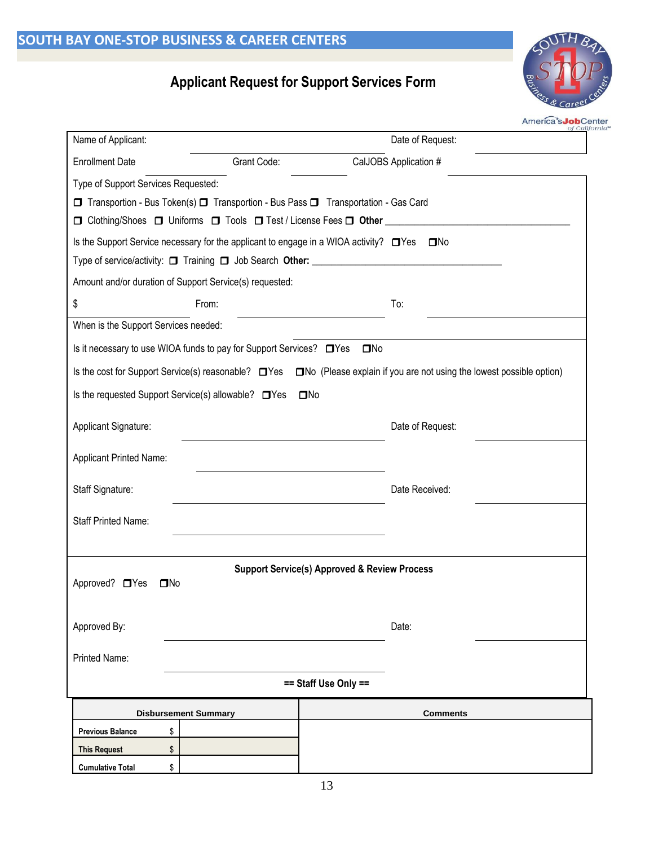## **Applicant Request for Support Services Form**



America's **Job**Center

| Name of Applicant:                                                   |                | of Cali<br>Date of Request:                                                                                                                                                                |  |
|----------------------------------------------------------------------|----------------|--------------------------------------------------------------------------------------------------------------------------------------------------------------------------------------------|--|
| <b>Enrollment Date</b>                                               | Grant Code:    | CalJOBS Application #                                                                                                                                                                      |  |
| Type of Support Services Requested:                                  |                |                                                                                                                                                                                            |  |
|                                                                      |                | □ Transportion - Bus Token(s) □ Transportion - Bus Pass □ Transportation - Gas Card                                                                                                        |  |
|                                                                      |                | □ Clothing/Shoes □ Uniforms □ Tools □ Test / License Fees □ Other ____________________                                                                                                     |  |
|                                                                      |                | Is the Support Service necessary for the applicant to engage in a WIOA activity? □ Yes<br>$\square$ No<br>Type of service/activity: □ Training □ Job Search Other: _______________________ |  |
| Amount and/or duration of Support Service(s) requested:              |                |                                                                                                                                                                                            |  |
| \$                                                                   | From:          | To:                                                                                                                                                                                        |  |
| When is the Support Services needed:                                 |                |                                                                                                                                                                                            |  |
| Is it necessary to use WIOA funds to pay for Support Services? □ Yes |                | $\square$ No                                                                                                                                                                               |  |
|                                                                      |                | Is the cost for Support Service(s) reasonable?<br><b>IDVest Constance Explain if you are not using the lowest possible option</b> )                                                        |  |
| Is the requested Support Service(s) allowable? □ Yes                 |                | $\square$ No                                                                                                                                                                               |  |
| Applicant Signature:                                                 |                | Date of Request:                                                                                                                                                                           |  |
| <b>Applicant Printed Name:</b>                                       |                |                                                                                                                                                                                            |  |
| Staff Signature:                                                     | Date Received: |                                                                                                                                                                                            |  |
| <b>Staff Printed Name:</b>                                           |                |                                                                                                                                                                                            |  |
|                                                                      |                |                                                                                                                                                                                            |  |
| Approved? □ Yes<br>$\square$ No                                      |                | <b>Support Service(s) Approved &amp; Review Process</b>                                                                                                                                    |  |
| Approved By:                                                         |                | Date:                                                                                                                                                                                      |  |
| Printed Name:                                                        |                |                                                                                                                                                                                            |  |
|                                                                      |                | == Staff Use Only ==                                                                                                                                                                       |  |
| <b>Disbursement Summary</b>                                          |                | <b>Comments</b>                                                                                                                                                                            |  |
| <b>Previous Balance</b><br>\$                                        |                |                                                                                                                                                                                            |  |
| \$<br><b>This Request</b>                                            |                |                                                                                                                                                                                            |  |
| \$<br><b>Cumulative Total</b>                                        |                |                                                                                                                                                                                            |  |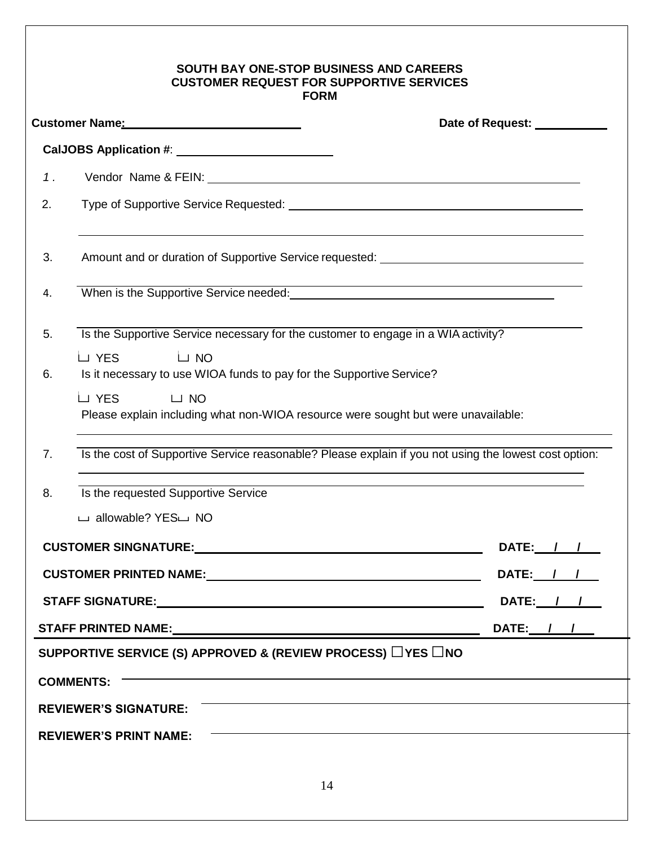#### **SOUTH BAY ONE-STOP BUSINESS AND CAREERS CUSTOMER REQUEST FOR SUPPORTIVE SERVICES FORM**

|    |                                                                                                                                                                                                                                     | Date of Request: <u>New York Bate</u> |
|----|-------------------------------------------------------------------------------------------------------------------------------------------------------------------------------------------------------------------------------------|---------------------------------------|
|    |                                                                                                                                                                                                                                     |                                       |
| 1. |                                                                                                                                                                                                                                     |                                       |
| 2. |                                                                                                                                                                                                                                     |                                       |
| 3. | Amount and or duration of Supportive Service requested: _________________________                                                                                                                                                   |                                       |
| 4. | <u> 1989 - Johann Stoff, deutscher Stoff, der Stoff, der Stoff, der Stoff, der Stoff, der Stoff, der Stoff, der S</u><br>When is the Supportive Service needed:<br><u> </u>                                                         |                                       |
| 5. | Is the Supportive Service necessary for the customer to engage in a WIA activity?                                                                                                                                                   |                                       |
| 6. | LJ YES<br>$\Box$ NO<br>Is it necessary to use WIOA funds to pay for the Supportive Service?<br>LJ YES<br>$\Box$ NO<br>Please explain including what non-WIOA resource were sought but were unavailable:                             |                                       |
| 7. | Is the cost of Supportive Service reasonable? Please explain if you not using the lowest cost option:<br>,我们也不会有什么。""我们的人,我们也不会有什么?""我们的人,我们也不会有什么?""我们的人,我们也不会有什么?""我们的人,我们也不会有什么?""我们的人                                           |                                       |
| 8. | Is the requested Supportive Service                                                                                                                                                                                                 |                                       |
|    | □ allowable? YES□ NO                                                                                                                                                                                                                |                                       |
|    | <b>CUSTOMER SINGNATURE:</b> THE STATE OF STATE STATES AND THE STATE OF STATES OF STATES AND THE STATE OF STATES OF STATES OF STATES AND THE STATE OF STATES OF STATES AND THE STATES OF STATES OF STATES AND THE STATE OF STATES OF | DATE: / /                             |
|    | CUSTOMER PRINTED NAME: NAME: A PRINT OF STATE OF STATE OF STATE OF STATE OF STATE OF STATE OF STATE OF STATE O                                                                                                                      | DATE: / /                             |
|    | STAFF SIGNATURE: The contract of the contract of the contract of the contract of the contract of the contract of the contract of the contract of the contract of the contract of the contract of the contract of the contract       | DATE: <u>/ / / </u>                   |
|    |                                                                                                                                                                                                                                     | DATE: $11$                            |
|    | SUPPORTIVE SERVICE (S) APPROVED & (REVIEW PROCESS) $\Box$ YES $\Box$ NO                                                                                                                                                             |                                       |
|    | <b>COMMENTS:</b>                                                                                                                                                                                                                    |                                       |
|    | <b>REVIEWER'S SIGNATURE:</b>                                                                                                                                                                                                        |                                       |
|    | <b>REVIEWER'S PRINT NAME:</b>                                                                                                                                                                                                       |                                       |
|    |                                                                                                                                                                                                                                     |                                       |
|    | 14                                                                                                                                                                                                                                  |                                       |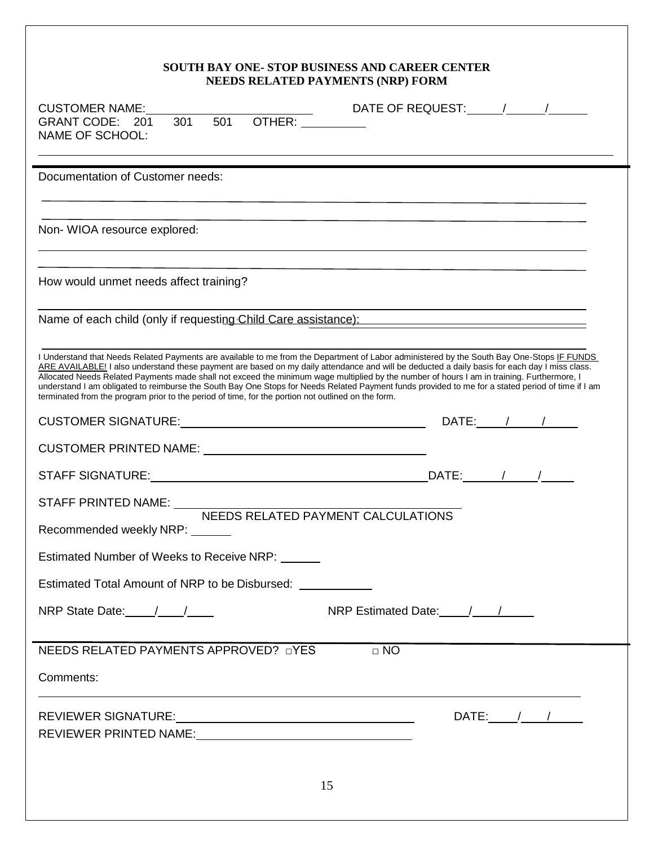# **SOUTH BAY ONE- STOP BUSINESS AND CAREER CENTER**

| <b>NEEDS RELATED PAYMENTS (NRP) FORM</b>                                                                                                                                                                                                                                                                                                                                                                                                                                                                                                                                                                                                                                                             |  |  |
|------------------------------------------------------------------------------------------------------------------------------------------------------------------------------------------------------------------------------------------------------------------------------------------------------------------------------------------------------------------------------------------------------------------------------------------------------------------------------------------------------------------------------------------------------------------------------------------------------------------------------------------------------------------------------------------------------|--|--|
| <b>CUSTOMER NAME:</b><br>10H 301 501 OTHER: DR<br>GRANT CODE: 201<br><b>NAME OF SCHOOL:</b>                                                                                                                                                                                                                                                                                                                                                                                                                                                                                                                                                                                                          |  |  |
| Documentation of Customer needs:                                                                                                                                                                                                                                                                                                                                                                                                                                                                                                                                                                                                                                                                     |  |  |
| ,我们也不能在这里,我们也不能在这里的时候,我们也不能会在这里,我们也不能会在这里,我们也不能会不能会不能会不能会。""我们,我们也不能会不能会不能会不能会不能<br>Non-WIOA resource explored:<br>,我们也不会有一个人的人,我们也不会有一个人的人,我们也不会有一个人的人。""我们,我们也不会有一个人的人,我们也不会有一个人的人,我们也不会有一个人的人,我们                                                                                                                                                                                                                                                                                                                                                                                                                                                                                                  |  |  |
| How would unmet needs affect training?                                                                                                                                                                                                                                                                                                                                                                                                                                                                                                                                                                                                                                                               |  |  |
| <u> 1989 - Johann Stoff, amerikansk politiker (d. 1989)</u><br>Name of each child (only if requesting Child Care assistance): Name of each child (only if requesting Child Care assistance):                                                                                                                                                                                                                                                                                                                                                                                                                                                                                                         |  |  |
| I Understand that Needs Related Payments are available to me from the Department of Labor administered by the South Bay One-Stops IF FUNDS<br>ARE AVAILABLE! I also understand these payment are based on my daily attendance and will be deducted a daily basis for each day I miss class.<br>Allocated Needs Related Payments made shall not exceed the minimum wage multiplied by the number of hours I am in training. Furthermore, I<br>understand I am obligated to reimburse the South Bay One Stops for Needs Related Payment funds provided to me for a stated period of time if I am<br>terminated from the program prior to the period of time, for the portion not outlined on the form. |  |  |
| $DATE:$ / /                                                                                                                                                                                                                                                                                                                                                                                                                                                                                                                                                                                                                                                                                          |  |  |
|                                                                                                                                                                                                                                                                                                                                                                                                                                                                                                                                                                                                                                                                                                      |  |  |
|                                                                                                                                                                                                                                                                                                                                                                                                                                                                                                                                                                                                                                                                                                      |  |  |
|                                                                                                                                                                                                                                                                                                                                                                                                                                                                                                                                                                                                                                                                                                      |  |  |
| Recommended weekly NRP: ______                                                                                                                                                                                                                                                                                                                                                                                                                                                                                                                                                                                                                                                                       |  |  |
| Estimated Number of Weeks to Receive NRP: ______                                                                                                                                                                                                                                                                                                                                                                                                                                                                                                                                                                                                                                                     |  |  |
| Estimated Total Amount of NRP to be Disbursed:                                                                                                                                                                                                                                                                                                                                                                                                                                                                                                                                                                                                                                                       |  |  |
| NRP State Date: $\frac{1}{\sqrt{2}}$<br>NRP Estimated Date: /////                                                                                                                                                                                                                                                                                                                                                                                                                                                                                                                                                                                                                                    |  |  |
| NEEDS RELATED PAYMENTS APPROVED? nYES<br>$\Box$ NO                                                                                                                                                                                                                                                                                                                                                                                                                                                                                                                                                                                                                                                   |  |  |
| Comments:                                                                                                                                                                                                                                                                                                                                                                                                                                                                                                                                                                                                                                                                                            |  |  |
| DATE: $\frac{1}{\sqrt{2}}$<br>REVIEWER PRINTED NAME:                                                                                                                                                                                                                                                                                                                                                                                                                                                                                                                                                                                                                                                 |  |  |
| 15                                                                                                                                                                                                                                                                                                                                                                                                                                                                                                                                                                                                                                                                                                   |  |  |